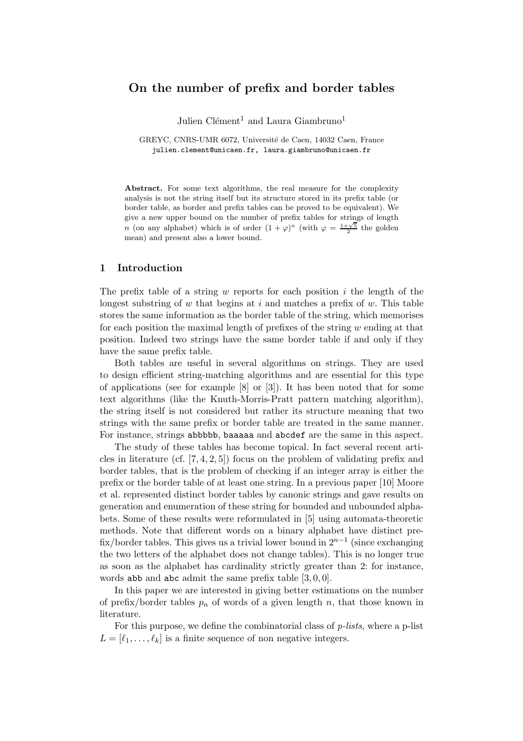# On the number of prefix and border tables

Julien Clément<sup>1</sup> and Laura Giambruno<sup>1</sup>

GREYC, CNRS-UMR 6072, Université de Caen, 14032 Caen, France julien.clement@unicaen.fr, laura.giambruno@unicaen.fr

Abstract. For some text algorithms, the real measure for the complexity analysis is not the string itself but its structure stored in its prefix table (or border table, as border and prefix tables can be proved to be equivalent). We give a new upper bound on the number of prefix tables for strings of length n (on any alphabet) which is of order  $(1 + \varphi)^n$  (with  $\varphi = \frac{1 + \sqrt{5}}{2}$  the golden mean) and present also a lower bound.

## 1 Introduction

The prefix table of a string w reports for each position  $i$  the length of the longest substring of w that begins at i and matches a prefix of w. This table stores the same information as the border table of the string, which memorises for each position the maximal length of prefixes of the string  $w$  ending at that position. Indeed two strings have the same border table if and only if they have the same prefix table.

Both tables are useful in several algorithms on strings. They are used to design efficient string-matching algorithms and are essential for this type of applications (see for example [8] or [3]). It has been noted that for some text algorithms (like the Knuth-Morris-Pratt pattern matching algorithm), the string itself is not considered but rather its structure meaning that two strings with the same prefix or border table are treated in the same manner. For instance, strings abbbbb, baaaaa and abcdef are the same in this aspect.

The study of these tables has become topical. In fact several recent articles in literature (cf.  $[7, 4, 2, 5]$ ) focus on the problem of validating prefix and border tables, that is the problem of checking if an integer array is either the prefix or the border table of at least one string. In a previous paper [10] Moore et al. represented distinct border tables by canonic strings and gave results on generation and enumeration of these string for bounded and unbounded alphabets. Some of these results were reformulated in [5] using automata-theoretic methods. Note that different words on a binary alphabet have distinct prefix/border tables. This gives us a trivial lower bound in  $2^{n-1}$  (since exchanging the two letters of the alphabet does not change tables). This is no longer true as soon as the alphabet has cardinality strictly greater than 2: for instance, words abb and abc admit the same prefix table  $[3, 0, 0]$ .

In this paper we are interested in giving better estimations on the number of prefix/border tables  $p_n$  of words of a given length n, that those known in literature.

For this purpose, we define the combinatorial class of  $p\text{-}lists$ , where a p-list  $L = [\ell_1, \ldots, \ell_k]$  is a finite sequence of non negative integers.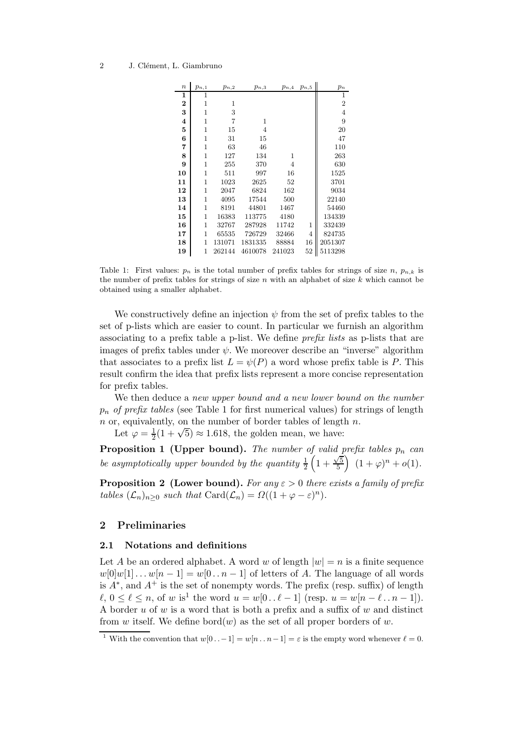| $\boldsymbol{n}$        | $p_{n,1}$ | $p_{n,2}$ | $p_{n,3}$ | $p_{n,4}$ | $p_{n,5}$      | $p_n$          |
|-------------------------|-----------|-----------|-----------|-----------|----------------|----------------|
| $\mathbf{1}$            | 1         |           |           |           |                | 1              |
| $\mathbf 2$             | 1         | 1         |           |           |                | $\overline{2}$ |
| 3                       | 1         | 3         |           |           |                | 4              |
| $\overline{\mathbf{4}}$ | 1         | 7         | 1         |           |                | 9              |
| 5                       | 1         | 15        | 4         |           |                | 20             |
| 6                       | 1         | 31        | 15        |           |                | 47             |
| 7                       | 1         | 63        | 46        |           |                | 110            |
| 8                       | 1         | 127       | 134       | 1         |                | 263            |
| 9                       | 1         | 255       | 370       | 4         |                | 630            |
| 10                      | 1         | 511       | 997       | 16        |                | 1525           |
| 11                      | 1         | 1023      | 2625      | 52        |                | 3701           |
| 12                      | 1         | 2047      | 6824      | 162       |                | 9034           |
| 13                      | 1         | 4095      | 17544     | 500       |                | 22140          |
| 14                      | 1         | 8191      | 44801     | 1467      |                | 54460          |
| 15                      | 1         | 16383     | 113775    | 4180      |                | 134339         |
| 16                      | 1         | 32767     | 287928    | 11742     | 1              | 332439         |
| 17                      | 1         | 65535     | 726729    | 32466     | $\overline{4}$ | 824735         |
| 18                      | 1         | 131071    | 1831335   | 88884     | 16             | 2051307        |
| 19                      | 1         | 262144    | 4610078   | 241023    | 52             | 5113298        |

Table 1: First values:  $p_n$  is the total number of prefix tables for strings of size n,  $p_{n,k}$  is the number of prefix tables for strings of size  $n$  with an alphabet of size  $k$  which cannot be obtained using a smaller alphabet.

We constructively define an injection  $\psi$  from the set of prefix tables to the set of p-lists which are easier to count. In particular we furnish an algorithm associating to a prefix table a p-list. We define prefix lists as p-lists that are images of prefix tables under  $\psi$ . We moreover describe an "inverse" algorithm that associates to a prefix list  $L = \psi(P)$  a word whose prefix table is P. This result confirm the idea that prefix lists represent a more concise representation for prefix tables.

We then deduce a new upper bound and a new lower bound on the number  $p_n$  of prefix tables (see Table 1 for first numerical values) for strings of length  $n$  or, equivalently, on the number of border tables of length  $n$ .

Let  $\varphi = \frac{1}{2}$  $\frac{1}{2}(1+\sqrt{5}) \approx 1.618$ , the golden mean, we have:

**Proposition 1 (Upper bound).** The number of valid prefix tables  $p_n$  can be asymptotically upper bounded by the quantity  $\frac{1}{2}\left(1+\frac{\sqrt{5}}{5}\right)$  $\frac{\sqrt{5}}{5}$   $(1+\varphi)^n + o(1)$ .

**Proposition 2 (Lower bound).** For any  $\varepsilon > 0$  there exists a family of prefix tables  $(\mathcal{L}_n)_{n\geq 0}$  such that  $\text{Card}(\mathcal{L}_n) = \Omega((1+\varphi-\varepsilon)^n)$ .

# 2 Preliminaries

## 2.1 Notations and definitions

Let A be an ordered alphabet. A word w of length  $|w| = n$  is a finite sequence  $w[0]w[1] \dots w[n-1] = w[0 \dots n-1]$  of letters of A. The language of all words is  $A^*$ , and  $A^+$  is the set of nonempty words. The prefix (resp. suffix) of length  $\ell, 0 \leq \ell \leq n$ , of w is<sup>1</sup> the word  $u = w[0 \dots \ell - 1]$  (resp.  $u = w[n - \ell \dots n - 1]$ ). A border  $u$  of  $w$  is a word that is both a prefix and a suffix of  $w$  and distinct from w itself. We define bord $(w)$  as the set of all proper borders of w.

<sup>&</sup>lt;sup>1</sup> With the convention that  $w[0 \tcdot -1] = w[n \tcdot n-1] = \varepsilon$  is the empty word whenever  $\ell = 0$ .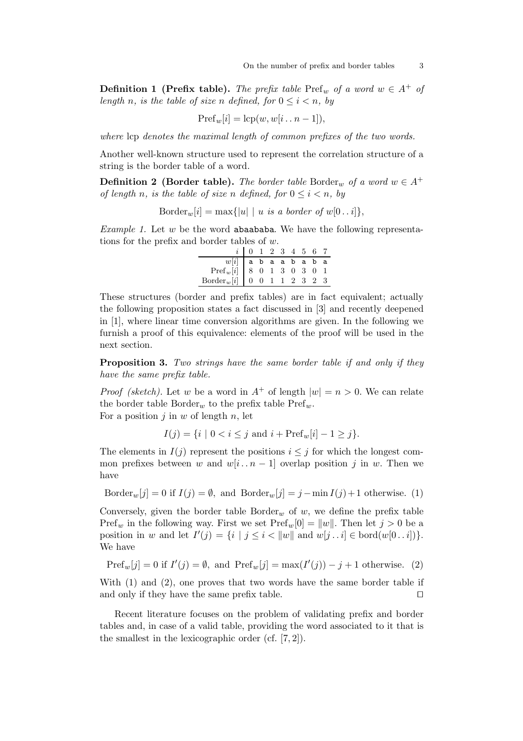**Definition 1 (Prefix table).** The prefix table Pref<sub>w</sub> of a word  $w \in A^+$  of length n, is the table of size n defined, for  $0 \leq i < n$ , by

$$
\operatorname{Pref}_w[i] = \operatorname{lcp}(w, w[i \dots n-1]),
$$

where lcp denotes the maximal length of common prefixes of the two words.

Another well-known structure used to represent the correlation structure of a string is the border table of a word.

**Definition 2 (Border table).** The border table Border<sub>w</sub> of a word  $w \in A^+$ of length n, is the table of size n defined, for  $0 \le i \le n$ , by

$$
Border_w[i] = \max\{|u| \mid u \text{ is a border of } w[0..i]\},
$$

Example 1. Let  $w$  be the word abaababa. We have the following representations for the prefix and border tables of w.

|                                                                                                                                                                                                                                                                                                                                 | $i$   0 1 2 3 4 5 6 7 |  |  |  |  |
|---------------------------------------------------------------------------------------------------------------------------------------------------------------------------------------------------------------------------------------------------------------------------------------------------------------------------------|-----------------------|--|--|--|--|
|                                                                                                                                                                                                                                                                                                                                 |                       |  |  |  |  |
|                                                                                                                                                                                                                                                                                                                                 |                       |  |  |  |  |
| $\begin{tabular}{c cccccc} \hline $w[i]$ & $\texttt{a}$ & $\texttt{b}$ & $\texttt{a}$ & $\texttt{b}$ & $\texttt{a}$ & $\texttt{b}$ & $\texttt{a}$ \\ \hline \texttt{Pref}_w[i] & $8$ & $0$ & $1$ & $3$ & $0$ & $3$ & $0$ & $1$ \\ \texttt{Border}_w[i] & $0$ & $0$ & $1$ & $1$ & $2$ & $3$ & $2$ & $3$ \\ \hline \end{tabular}$ |                       |  |  |  |  |

These structures (border and prefix tables) are in fact equivalent; actually the following proposition states a fact discussed in [3] and recently deepened in [1], where linear time conversion algorithms are given. In the following we furnish a proof of this equivalence: elements of the proof will be used in the next section.

**Proposition 3.** Two strings have the same border table if and only if they have the same prefix table.

*Proof (sketch)*. Let w be a word in  $A^+$  of length  $|w| = n > 0$ . We can relate the border table Border<sub>w</sub> to the prefix table  $\text{Pref}_w$ . For a position  $j$  in  $w$  of length  $n$ , let

$$
I(j) = \{i \mid 0 < i \leq j \text{ and } i + \text{Pref}_w[i] - 1 \geq j\}.
$$

The elements in  $I(i)$  represent the positions  $i \leq j$  for which the longest common prefixes between w and  $w[i \nvert n - 1]$  overlap position j in w. Then we have

Border<sub>w</sub>[j] = 0 if  $I(j) = \emptyset$ , and Border<sub>w</sub>[j] = j – min  $I(j) + 1$  otherwise. (1)

Conversely, given the border table  $Border_w$  of w, we define the prefix table  $\text{Pref}_w$  in the following way. First we set  $\text{Pref}_w[0] = ||w||$ . Then let  $j > 0$  be a position in w and let  $I'(j) = \{i \mid j \le i < ||w|| \text{ and } w[j \dots i] \in \text{bord}(w[0 \dots i])\}.$ We have

$$
Pref_w[j] = 0 \text{ if } I'(j) = \emptyset, \text{ and } Pref_w[j] = \max(I'(j)) - j + 1 \text{ otherwise.}
$$
 (2)

With (1) and (2), one proves that two words have the same border table if and only if they have the same prefix table. ⊓⊔

Recent literature focuses on the problem of validating prefix and border tables and, in case of a valid table, providing the word associated to it that is the smallest in the lexicographic order (cf. [7, 2]).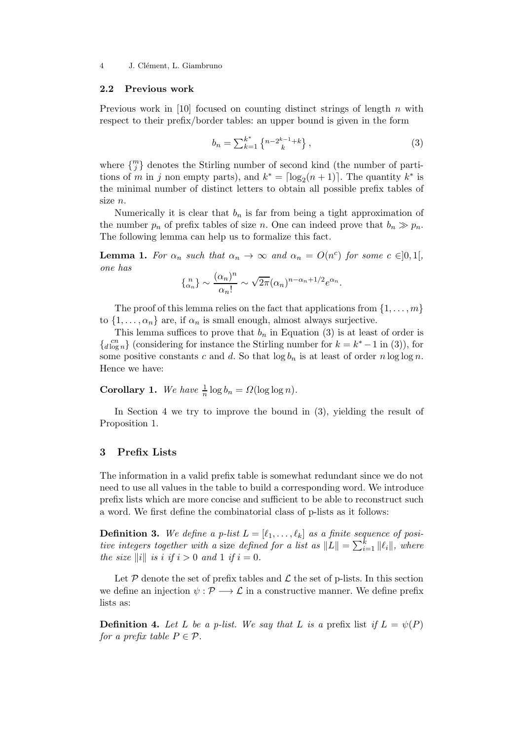4 J. Clément, L. Giambruno

#### 2.2 Previous work

Previous work in [10] focused on counting distinct strings of length  $n$  with respect to their prefix/border tables: an upper bound is given in the form

$$
b_n = \sum_{k=1}^{k^*} \left\{ {n - 2^{k-1} + k \atop k} \right\},\tag{3}
$$

where  $\{^{m}_{j}\}$  denotes the Stirling number of second kind (the number of partitions of m in j non empty parts), and  $k^* = \lceil \log_2(n+1) \rceil$ . The quantity  $k^*$  is the minimal number of distinct letters to obtain all possible prefix tables of size n.

Numerically it is clear that  $b_n$  is far from being a tight approximation of the number  $p_n$  of prefix tables of size n. One can indeed prove that  $b_n \gg p_n$ . The following lemma can help us to formalize this fact.

**Lemma 1.** For  $\alpha_n$  such that  $\alpha_n \to \infty$  and  $\alpha_n = O(n^c)$  for some  $c \in ]0,1[,$ one has

$$
\{a_n\} \sim \frac{(\alpha_n)^n}{\alpha_n!} \sim \sqrt{2\pi} (\alpha_n)^{n-\alpha_n+1/2} e^{\alpha_n}.
$$

The proof of this lemma relies on the fact that applications from  $\{1, \ldots, m\}$ to  $\{1, \ldots, \alpha_n\}$  are, if  $\alpha_n$  is small enough, almost always surjective.

This lemma suffices to prove that  $b_n$  in Equation (3) is at least of order is  ${c_n \choose d \log n}$  (considering for instance the Stirling number for  $k = k^* - 1$  in (3)), for some positive constants c and d. So that  $\log b_n$  is at least of order n log log n. Hence we have:

**Corollary 1.** We have  $\frac{1}{n} \log b_n = \Omega(\log \log n)$ .

In Section 4 we try to improve the bound in (3), yielding the result of Proposition 1.

## 3 Prefix Lists

The information in a valid prefix table is somewhat redundant since we do not need to use all values in the table to build a corresponding word. We introduce prefix lists which are more concise and sufficient to be able to reconstruct such a word. We first define the combinatorial class of p-lists as it follows:

**Definition 3.** We define a p-list  $L = [\ell_1, \ldots, \ell_k]$  as a finite sequence of positive integers together with a size defined for a list as  $||L|| = \sum_{i=1}^{k} ||\ell_i||$ , where the size  $\|i\|$  is i if  $i > 0$  and 1 if  $i = 0$ .

Let  $P$  denote the set of prefix tables and  $\mathcal L$  the set of p-lists. In this section we define an injection  $\psi : \mathcal{P} \longrightarrow \mathcal{L}$  in a constructive manner. We define prefix lists as:

**Definition 4.** Let L be a p-list. We say that L is a prefix list if  $L = \psi(P)$ for a prefix table  $P \in \mathcal{P}$ .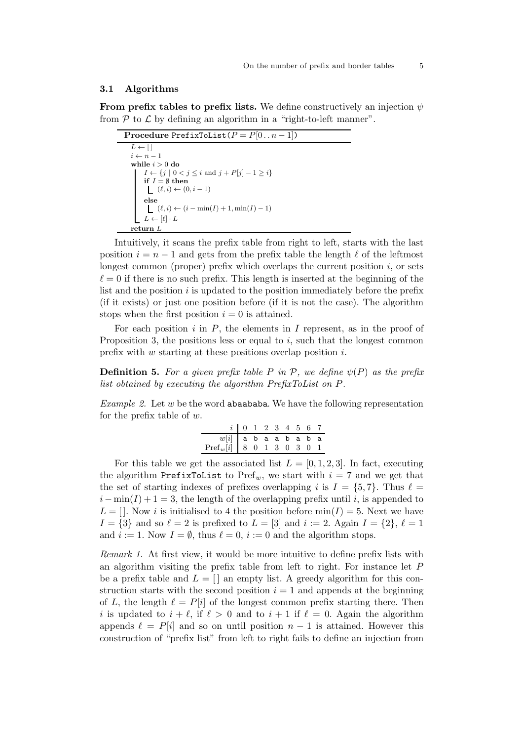#### 3.1 Algorithms

From prefix tables to prefix lists. We define constructively an injection  $\psi$ from  $P$  to  $\mathcal L$  by defining an algorithm in a "right-to-left manner".

| <b>Procedure PrefixToList</b> $(P = P[0n-1])$                                                   |
|-------------------------------------------------------------------------------------------------|
| $L \leftarrow   $                                                                               |
| $i \leftarrow n-1$                                                                              |
| while $i > 0$ do                                                                                |
| $I \leftarrow \{j \mid 0 < j \leq i \text{ and } j + P[j] - 1 \geq i\}$                         |
| if $I = \emptyset$ then                                                                         |
| $(\ell, i) \leftarrow (0, i - 1)$                                                               |
| else                                                                                            |
| $\left\lfloor \begin{array}{l} (\ell,i) \leftarrow (i-\min(I)+1,\min(I)-1) \end{array} \right.$ |
| $L \leftarrow [\ell] \cdot L$                                                                   |
| return L                                                                                        |

Intuitively, it scans the prefix table from right to left, starts with the last position  $i = n - 1$  and gets from the prefix table the length  $\ell$  of the leftmost longest common (proper) prefix which overlaps the current position  $i$ , or sets  $\ell = 0$  if there is no such prefix. This length is inserted at the beginning of the list and the position  $i$  is updated to the position immediately before the prefix (if it exists) or just one position before (if it is not the case). The algorithm stops when the first position  $i = 0$  is attained.

For each position  $i$  in  $P$ , the elements in  $I$  represent, as in the proof of Proposition 3, the positions less or equal to  $i$ , such that the longest common prefix with  $w$  starting at these positions overlap position  $i$ .

**Definition 5.** For a given prefix table P in P, we define  $\psi(P)$  as the prefix list obtained by executing the algorithm PrefixToList on P.

Example 2. Let w be the word abaababa. We have the following representation for the prefix table of  $w$ .

|                                                                                                                                                                                                                                                                        | $i$   0 1 2 3 4 5 6 7 |  |  |  |  |
|------------------------------------------------------------------------------------------------------------------------------------------------------------------------------------------------------------------------------------------------------------------------|-----------------------|--|--|--|--|
|                                                                                                                                                                                                                                                                        |                       |  |  |  |  |
| $\begin{tabular}{c cccccc} \hline $w[i]$ & $\tt{a} $ $b$ & $\tt{a} $ $ a $ $ b $ $ $ a $ $ $ b $ $ $ a $ $ $ \\ \hline \hline \hline \hline \hline \hline \hline $r e f_w[i]$ & $\tt{8} $ $0$ & $\tt{1} $ $3$ & $\tt{0} $ $3$ & $\tt{0} $ $1$ \\ \hline \end{tabular}$ |                       |  |  |  |  |

For this table we get the associated list  $L = [0, 1, 2, 3]$ . In fact, executing the algorithm PrefixToList to Pref<sub>w</sub>, we start with  $i = 7$  and we get that the set of starting indexes of prefixes overlapping i is  $I = \{5, 7\}$ . Thus  $\ell =$  $i - \min(I) + 1 = 3$ , the length of the overlapping prefix until i, is appended to  $L = [$ . Now i is initialised to 4 the position before  $min(I) = 5$ . Next we have  $I = \{3\}$  and so  $\ell = 2$  is prefixed to  $L = [3]$  and  $i := 2$ . Again  $I = \{2\}, \ell = 1$ and  $i := 1$ . Now  $I = \emptyset$ , thus  $\ell = 0$ ,  $i := 0$  and the algorithm stops.

Remark 1. At first view, it would be more intuitive to define prefix lists with an algorithm visiting the prefix table from left to right. For instance let P be a prefix table and  $L = \{$  an empty list. A greedy algorithm for this construction starts with the second position  $i = 1$  and appends at the beginning of L, the length  $\ell = P[i]$  of the longest common prefix starting there. Then i is updated to  $i + \ell$ , if  $\ell > 0$  and to  $i + 1$  if  $\ell = 0$ . Again the algorithm appends  $\ell = P[i]$  and so on until position  $n-1$  is attained. However this construction of "prefix list" from left to right fails to define an injection from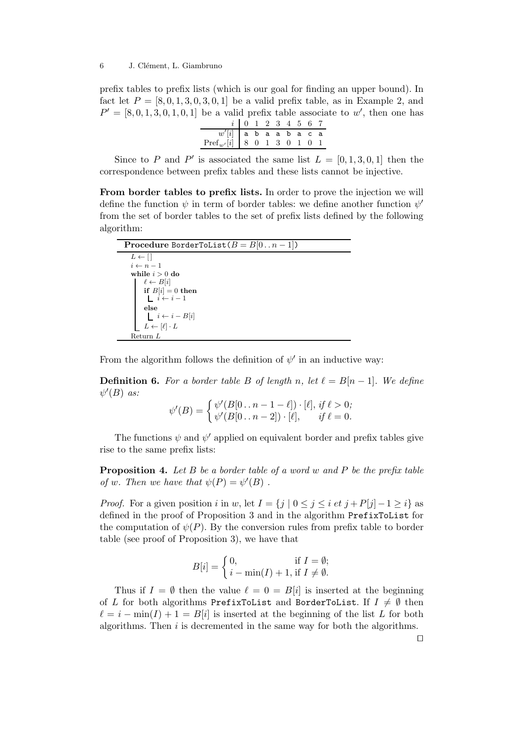prefix tables to prefix lists (which is our goal for finding an upper bound). In fact let  $P = \{8, 0, 1, 3, 0, 3, 0, 1\}$  be a valid prefix table, as in Example 2, and  $P' = [8, 0, 1, 3, 0, 1, 0, 1]$  be a valid prefix table associate to w', then one has

|                                                                                                                                                                                                                                         | $i$ 0 1 2 3 4 5 6 7 |  |  |  |  |
|-----------------------------------------------------------------------------------------------------------------------------------------------------------------------------------------------------------------------------------------|---------------------|--|--|--|--|
|                                                                                                                                                                                                                                         |                     |  |  |  |  |
| $\begin{tabular}{c cccccc} $w'[i]$ & $\texttt{a} $~\texttt{b} $~\texttt{a} $~\texttt{a} $~\texttt{b} $~\texttt{a} $~\texttt{c} $~\texttt{a}$ \\ \textbf{Pref}_{w'}[i] & $8$ & $0$ & $1$ & $3$ & $0$ & $1$ & $0$ & $1$ \\ \end{tabular}$ |                     |  |  |  |  |

Since to P and P' is associated the same list  $L = [0, 1, 3, 0, 1]$  then the correspondence between prefix tables and these lists cannot be injective.

From border tables to prefix lists. In order to prove the injection we will define the function  $\psi$  in term of border tables: we define another function  $\psi'$ from the set of border tables to the set of prefix lists defined by the following algorithm:

| <b>Procedure BorderToList</b> $(B = B[0n-1])$                                                                                  |
|--------------------------------------------------------------------------------------------------------------------------------|
| $L \leftarrow \lceil \rceil$                                                                                                   |
| $i \leftarrow n-1$                                                                                                             |
| while $i > 0$ do                                                                                                               |
| $\ell \leftarrow B[i]$                                                                                                         |
| if $B[i] = 0$ then<br>$L \ni \leftarrow i - 1$                                                                                 |
|                                                                                                                                |
| else                                                                                                                           |
| $\begin{array}{c} \begin{array}{c} \text{\Large $\mid$} \\ \text{\Large $\mid$} \end{array} & i \leftarrow i-B[i] \end{array}$ |
| $L \leftarrow [\ell] \cdot L$                                                                                                  |
| Return L                                                                                                                       |

From the algorithm follows the definition of  $\psi'$  in an inductive way:

**Definition 6.** For a border table B of length n, let  $\ell = B[n-1]$ . We define  $\psi'(B)$  as:

$$
\psi'(B) = \begin{cases} \psi'(B[0 \dots n-1-\ell]) \cdot [\ell], \text{ if } \ell > 0; \\ \psi'(B[0 \dots n-2]) \cdot [\ell], \quad \text{ if } \ell = 0. \end{cases}
$$

The functions  $\psi$  and  $\psi'$  applied on equivalent border and prefix tables give rise to the same prefix lists:

**Proposition 4.** Let  $B$  be a border table of a word w and  $P$  be the prefix table of w. Then we have that  $\psi(P) = \psi'(B)$ .

*Proof.* For a given position i in w, let  $I = \{j | 0 \le j \le i \text{ et } j + P[j]-1 \ge i\}$  as defined in the proof of Proposition 3 and in the algorithm PrefixToList for the computation of  $\psi(P)$ . By the conversion rules from prefix table to border table (see proof of Proposition 3), we have that

$$
B[i] = \begin{cases} 0, & \text{if } I = \emptyset; \\ i - \min(I) + 1, \text{if } I \neq \emptyset. \end{cases}
$$

Thus if  $I = \emptyset$  then the value  $\ell = 0 = B[i]$  is inserted at the beginning of L for both algorithms PrefixToList and BorderToList. If  $I \neq \emptyset$  then  $\ell = i - \min(I) + 1 = B[i]$  is inserted at the beginning of the list L for both algorithms. Then  $i$  is decremented in the same way for both the algorithms.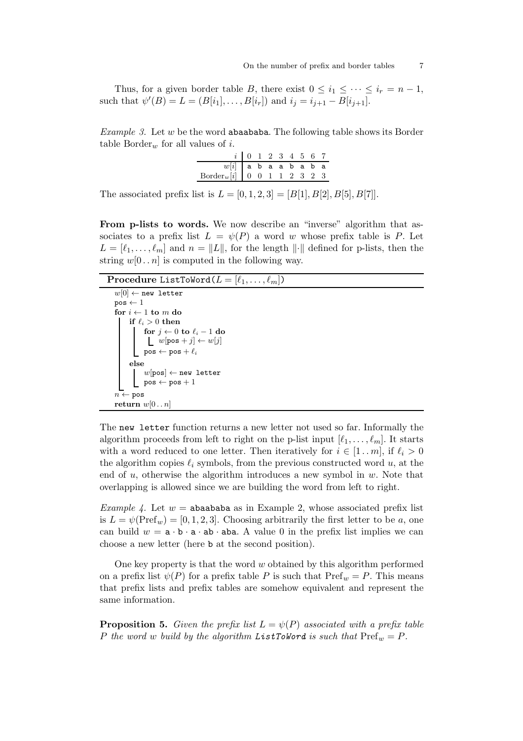Thus, for a given border table B, there exist  $0 \leq i_1 \leq \cdots \leq i_r = n-1$ , such that  $\psi'(B) = L = (B[i_1], \dots, B[i_r])$  and  $i_j = i_{j+1} - B[i_{j+1}].$ 

*Example 3.* Let  $w$  be the word **abaababa**. The following table shows its Border table Border<sub>w</sub> for all values of i.

|                               | $i$ 0 1 2 3 4 5 6 7 |  |  |  |  |
|-------------------------------|---------------------|--|--|--|--|
| $w[i]$   a b a a b a b a      |                     |  |  |  |  |
| $Border_w[i]$ 0 0 1 1 2 3 2 3 |                     |  |  |  |  |

The associated prefix list is  $L = [0, 1, 2, 3] = [B[1], B[2], B[5], B[7]]$ .

From p-lists to words. We now describe an "inverse" algorithm that associates to a prefix list  $L = \psi(P)$  a word w whose prefix table is P. Let  $L = [\ell_1, \ldots, \ell_m]$  and  $n = ||L||$ , for the length  $||\cdot||$  defined for p-lists, then the string  $w[0 \tcdot n]$  is computed in the following way.

| <b>Procedure ListToWord</b> $(L = [\ell_1, \ldots, \ell_m])$                                                            |
|-------------------------------------------------------------------------------------------------------------------------|
| $w[0] \leftarrow$ new letter                                                                                            |
| $pos \leftarrow 1$                                                                                                      |
| for $i \leftarrow 1$ to m do                                                                                            |
| if $\ell_i > 0$ then                                                                                                    |
| for $j \leftarrow 0$ to $\ell_i - 1$ do<br>$\lfloor w[\mathtt{pos}+j] \leftarrow w[j]$<br>$pos \leftarrow pos + \ell_i$ |
| else                                                                                                                    |
| $w[\texttt{pos}] \leftarrow \texttt{new letter}$<br>$\texttt{pos} \leftarrow \texttt{pos} + 1$                          |
|                                                                                                                         |
| $n \leftarrow p$ os                                                                                                     |
| return $w[0n]$                                                                                                          |

The new letter function returns a new letter not used so far. Informally the algorithm proceeds from left to right on the p-list input  $[\ell_1, \ldots, \ell_m]$ . It starts with a word reduced to one letter. Then iteratively for  $i \in [1..m]$ , if  $\ell_i > 0$ the algorithm copies  $\ell_i$  symbols, from the previous constructed word u, at the end of  $u$ , otherwise the algorithm introduces a new symbol in  $w$ . Note that overlapping is allowed since we are building the word from left to right.

*Example 4.* Let  $w =$  abaababa as in Example 2, whose associated prefix list is  $L = \psi(\text{Pref}_w) = [0, 1, 2, 3]$ . Choosing arbitrarily the first letter to be a, one can build  $w = \mathbf{a} \cdot \mathbf{b} \cdot \mathbf{a} \cdot \mathbf{a} \cdot \mathbf{a} \cdot \mathbf{b}$ . A value 0 in the prefix list implies we can choose a new letter (here b at the second position).

One key property is that the word  $w$  obtained by this algorithm performed on a prefix list  $\psi(P)$  for a prefix table P is such that  $\text{Pref}_w = P$ . This means that prefix lists and prefix tables are somehow equivalent and represent the same information.

**Proposition 5.** Given the prefix list  $L = \psi(P)$  associated with a prefix table P the word w build by the algorithm ListToWord is such that  $\text{Pref}_w = P$ .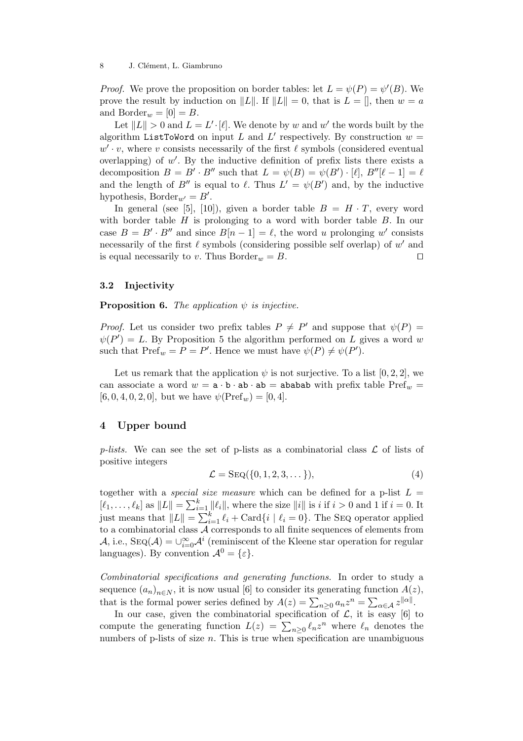*Proof.* We prove the proposition on border tables: let  $L = \psi(P) = \psi'(B)$ . We prove the result by induction on ||L||. If  $||L|| = 0$ , that is  $L = ||$ , then  $w = a$ and  $\text{Border}_w = [0] = B$ .

Let  $||L|| > 0$  and  $L = L' \cdot [\ell]$ . We denote by w and w' the words built by the algorithm ListToWord on input L and L' respectively. By construction  $w =$  $w' \cdot v$ , where v consists necessarily of the first  $\ell$  symbols (considered eventual overlapping) of  $w'$ . By the inductive definition of prefix lists there exists a decomposition  $B = B' \cdot B''$  such that  $L = \psi(B) = \psi(B') \cdot [\ell], B''[\ell-1] = \ell$ and the length of B'' is equal to  $\ell$ . Thus  $L' = \psi(B')$  and, by the inductive hypothesis,  $\text{Border}_{w'} = B'$ .

In general (see [5], [10]), given a border table  $B = H \cdot T$ , every word with border table  $H$  is prolonging to a word with border table  $B$ . In our case  $B = B' \cdot B''$  and since  $B[n-1] = \ell$ , the word u prolonging w' consists necessarily of the first  $\ell$  symbols (considering possible self overlap) of  $w'$  and is equal necessarily to v. Thus Border<sub>w</sub> = B. □

#### 3.2 Injectivity

**Proposition 6.** The application  $\psi$  is injective.

*Proof.* Let us consider two prefix tables  $P \neq P'$  and suppose that  $\psi(P) =$  $\psi(P') = L$ . By Proposition 5 the algorithm performed on L gives a word w such that  $\text{Pref}_w = P = P'$ . Hence we must have  $\psi(P) \neq \psi(P')$ .

Let us remark that the application  $\psi$  is not surjective. To a list [0, 2, 2], we can associate a word  $w = \mathbf{a} \cdot \mathbf{b} \cdot \mathbf{a} \cdot \mathbf{b} = \mathbf{a} \cdot \mathbf{b} \cdot \mathbf{b} \cdot \mathbf{b} = \mathbf{b} \cdot \mathbf{b} \cdot \mathbf{b} \cdot \mathbf{c}$  with prefix table Pref<sub>w</sub> =  $[6, 0, 4, 0, 2, 0]$ , but we have  $\psi(\text{Pref}_w) = [0, 4]$ .

## 4 Upper bound

p-lists. We can see the set of p-lists as a combinatorial class  $\mathcal L$  of lists of positive integers

$$
\mathcal{L} = \text{Seq}(\{0, 1, 2, 3, \dots\}),\tag{4}
$$

together with a *special size measure* which can be defined for a p-list  $L =$  $[\ell_1,\ldots,\ell_k]$  as  $||L|| = \sum_{i=1}^k ||\ell_i||$ , where the size  $||i||$  is i if  $i > 0$  and 1 if  $i = 0$ . It just means that  $||L|| = \sum_{i=1}^{k} \ell_i + \text{Card}\{i \mid \ell_i = 0\}$ . The SEQ operator applied to a combinatorial class A corresponds to all finite sequences of elements from A, i.e.,  $\text{Seq}(\mathcal{A}) = \bigcup_{i=0}^{\infty} \mathcal{A}^i$  (reminiscent of the Kleene star operation for regular languages). By convention  $\mathcal{A}^0 = \{\varepsilon\}.$ 

Combinatorial specifications and generating functions. In order to study a sequence  $(a_n)_{n\in\mathbb{N}}$ , it is now usual [6] to consider its generating function  $A(z)$ , that is the formal power series defined by  $A(z) = \sum_{n\geq 0} a_n z^n = \sum_{\alpha \in A} z^{\|\alpha\|}$ .

In our case, given the combinatorial specification of  $\mathcal{L}$ , it is easy [6] to compute the generating function  $L(z) = \sum_{n\geq 0} \ell_n z^n$  where  $\ell_n$  denotes the numbers of p-lists of size  $n$ . This is true when specification are unambiguous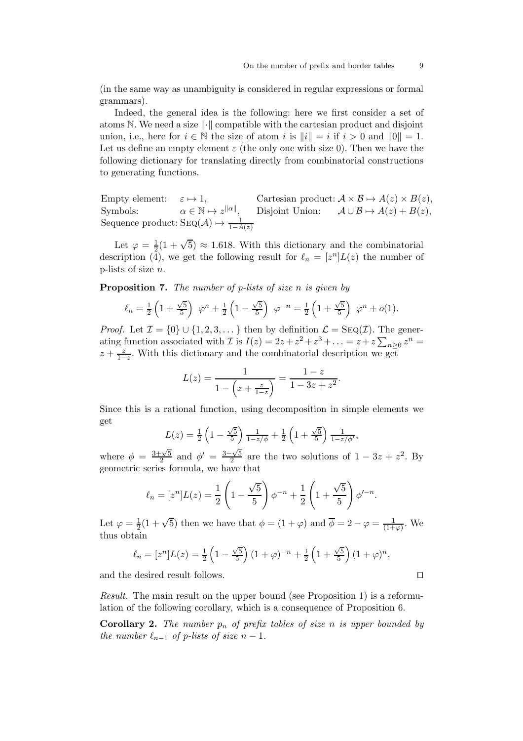(in the same way as unambiguity is considered in regular expressions or formal grammars).

Indeed, the general idea is the following: here we first consider a set of atoms N. We need a size  $\lVert \cdot \rVert$  compatible with the cartesian product and disjoint union, i.e., here for  $i \in \mathbb{N}$  the size of atom i is  $||i|| = i$  if  $i > 0$  and  $||0|| = 1$ . Let us define an empty element  $\varepsilon$  (the only one with size 0). Then we have the following dictionary for translating directly from combinatorial constructions to generating functions.

Empty element:  $\varepsilon \mapsto 1$ , Cartesian product:  $A \times B \mapsto A(z) \times B(z)$ , Symbols:  $\alpha \in \mathbb{N} \mapsto z^{\|\alpha\|}$ , Disjoint Union:  $\mathcal{A} \cup \mathcal{B} \mapsto A(z) + B(z)$ , Sequence product: SEQ( $\mathcal{A}$ )  $\mapsto \frac{1}{1-A(z)}$ 

Let  $\varphi = \frac{1}{2}$  $\frac{1}{2}(1+\sqrt{5}) \approx 1.618$ . With this dictionary and the combinatorial description (4), we get the following result for  $\ell_n = [z^n]L(z)$  the number of p-lists of size n.

**Proposition 7.** The number of p-lists of size n is given by

$$
\ell_n = \frac{1}{2} \left( 1 + \frac{\sqrt{5}}{5} \right) \varphi^n + \frac{1}{2} \left( 1 - \frac{\sqrt{5}}{5} \right) \varphi^{-n} = \frac{1}{2} \left( 1 + \frac{\sqrt{5}}{5} \right) \varphi^n + o(1).
$$

*Proof.* Let  $\mathcal{I} = \{0\} \cup \{1, 2, 3, \dots\}$  then by definition  $\mathcal{L} = \text{Seq}(\mathcal{I})$ . The generating function associated with  $\mathcal{I}$  is  $I(z) = 2z + z^2 + z^3 + \ldots = z + z \sum_{n \geq 0} z^n =$  $z + \frac{z}{1-z}$ . With this dictionary and the combinatorial description we get

$$
L(z) = \frac{1}{1 - \left(z + \frac{z}{1 - z}\right)} = \frac{1 - z}{1 - 3z + z^2}.
$$

Since this is a rational function, using decomposition in simple elements we get

$$
L(z) = \frac{1}{2} \left( 1 - \frac{\sqrt{5}}{5} \right) \frac{1}{1 - z/\phi} + \frac{1}{2} \left( 1 + \frac{\sqrt{5}}{5} \right) \frac{1}{1 - z/\phi'},
$$

where  $\phi = \frac{3+\sqrt{5}}{2}$  $\frac{\sqrt{5}}{2}$  and  $\phi' = \frac{3-\sqrt{5}}{2}$  $\frac{-\sqrt{5}}{2}$  are the two solutions of  $1 - 3z + z^2$ . By geometric series formula, we have that

$$
\ell_n = [z^n]L(z) = \frac{1}{2} \left( 1 - \frac{\sqrt{5}}{5} \right) \phi^{-n} + \frac{1}{2} \left( 1 + \frac{\sqrt{5}}{5} \right) \phi'^{-n}.
$$

Let  $\varphi = \frac{1}{2}(1+\sqrt{5})$  then we have that  $\phi = (1+\varphi)$  and  $\overline{\phi} = 2 - \varphi = \frac{1}{(1+\varphi)}$ . We thus obtain

$$
\ell_n = [z^n]L(z) = \frac{1}{2} \left( 1 - \frac{\sqrt{5}}{5} \right) (1 + \varphi)^{-n} + \frac{1}{2} \left( 1 + \frac{\sqrt{5}}{5} \right) (1 + \varphi)^n,
$$

and the desired result follows. ⊓⊔

Result. The main result on the upper bound (see Proposition 1) is a reformulation of the following corollary, which is a consequence of Proposition 6.

**Corollary 2.** The number  $p_n$  of prefix tables of size n is upper bounded by the number  $\ell_{n-1}$  of p-lists of size  $n-1$ .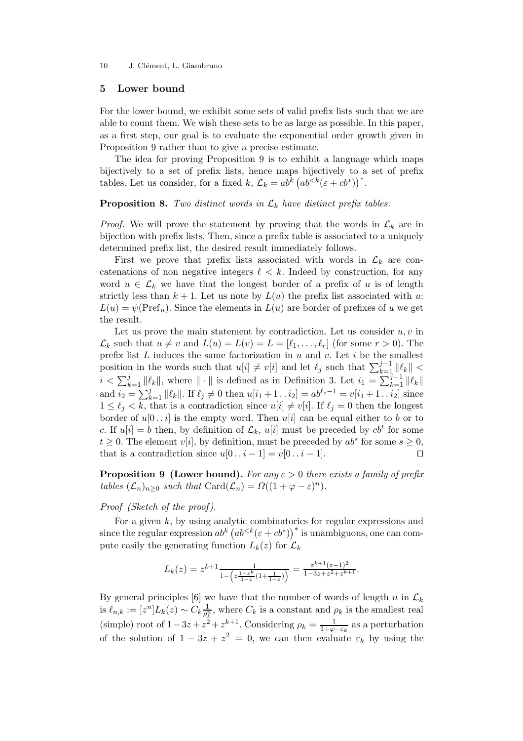10 J. Clément, L. Giambruno

## 5 Lower bound

For the lower bound, we exhibit some sets of valid prefix lists such that we are able to count them. We wish these sets to be as large as possible. In this paper, as a first step, our goal is to evaluate the exponential order growth given in Proposition 9 rather than to give a precise estimate.

The idea for proving Proposition 9 is to exhibit a language which maps bijectively to a set of prefix lists, hence maps bijectively to a set of prefix tables. Let us consider, for a fixed k,  $\mathcal{L}_k = ab^k (ab^{<}( \varepsilon + cb^*))^*$ .

**Proposition 8.** Two distinct words in  $\mathcal{L}_k$  have distinct prefix tables.

*Proof.* We will prove the statement by proving that the words in  $\mathcal{L}_k$  are in bijection with prefix lists. Then, since a prefix table is associated to a uniquely determined prefix list, the desired result immediately follows.

First we prove that prefix lists associated with words in  $\mathcal{L}_k$  are concatenations of non negative integers  $\ell < k$ . Indeed by construction, for any word  $u \in \mathcal{L}_k$  we have that the longest border of a prefix of u is of length strictly less than  $k + 1$ . Let us note by  $L(u)$  the prefix list associated with u:  $L(u) = \psi(\text{Pref}_u)$ . Since the elements in  $L(u)$  are border of prefixes of u we get the result.

Let us prove the main statement by contradiction. Let us consider  $u, v$  in  $\mathcal{L}_k$  such that  $u \neq v$  and  $L(u) = L(v) = L = [\ell_1, \ldots, \ell_r]$  (for some  $r > 0$ ). The prefix list  $L$  induces the same factorization in  $u$  and  $v$ . Let  $i$  be the smallest position in the words such that  $u[i] \neq v[i]$  and let  $\ell_j$  such that  $\sum_{k=1}^{j-1} ||\ell_k||$  <  $i < \sum_{k=1}^{j} ||\ell_k||$ , where  $|| \cdot ||$  is defined as in Definition 3. Let  $i_1 = \sum_{k=1}^{j-1} ||\ell_k||$ and  $i_2 = \sum_{k=1}^{j} ||\ell_k||$ . If  $\ell_j \neq 0$  then  $u[i_1 + 1 \dots i_2] = ab^{\ell_j - 1} = v[i_1 + 1 \dots i_2]$  since  $1 \leq \ell_j < k$ , that is a contradiction since  $u[i] \neq v[i]$ . If  $\ell_j = 0$  then the longest border of  $u[0..i]$  is the empty word. Then  $u[i]$  can be equal either to b or to c. If  $u[i] = b$  then, by definition of  $\mathcal{L}_k$ ,  $u[i]$  must be preceded by  $cb^t$  for some  $t \geq 0$ . The element  $v[i]$ , by definition, must be preceded by  $ab^s$  for some  $s \geq 0$ , that is a contradiction since  $u[0 \tldots i-1] = v[0 \tldots i-1]$ .

**Proposition 9 (Lower bound).** For any  $\varepsilon > 0$  there exists a family of prefix tables  $(\mathcal{L}_n)_{n\geq 0}$  such that  $\text{Card}(\mathcal{L}_n) = \Omega((1+\varphi-\varepsilon)^n)$ .

## Proof (Sketch of the proof).

For a given  $k$ , by using analytic combinatorics for regular expressions and since the regular expression  $ab^k (ab^{ is unambiguous, one can com$ pute easily the generating function  $L_k(z)$  for  $\mathcal{L}_k$ 

$$
L_k(z) = z^{k+1} \frac{1}{1 - \left(z \frac{1 - z^k}{1 - z}(1 + \frac{1}{1 - z})\right)} = \frac{z^{k+1}(z-1)^2}{1 - 3z + z^2 + z^{k+1}}.
$$

By general principles [6] we have that the number of words of length n in  $\mathcal{L}_k$ is  $\ell_{n,k}:=[z^n]L_k(z)\sim C_k\frac{1}{\rho_k^n}$  $\frac{1}{\rho_k^n}$ , where  $C_k$  is a constant and  $\rho_k$  is the smallest real (simple) root of  $1-3z+z^2+z^{k+1}$ . Considering  $\rho_k = \frac{1}{1+\varphi_k}$  $\frac{1}{1+\varphi-\varepsilon_k}$  as a perturbation of the solution of  $1 - 3z + z^2 = 0$ , we can then evaluate  $\varepsilon_k$  by using the